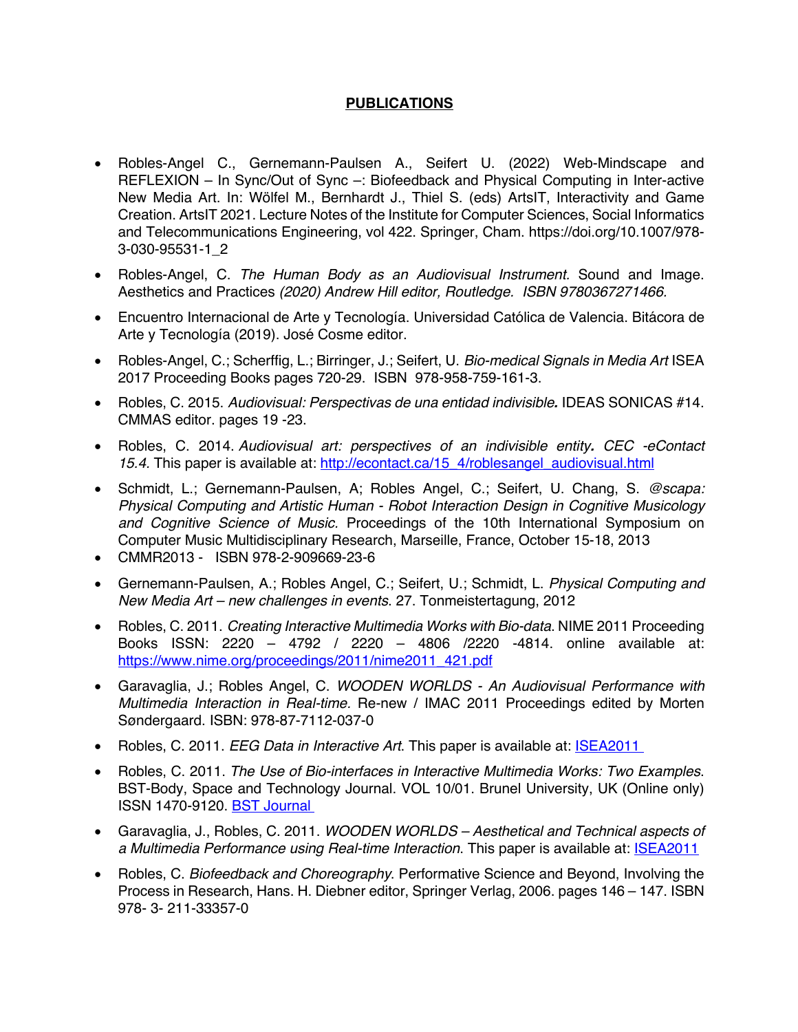## **PUBLICATIONS**

- Robles-Angel C., Gernemann-Paulsen A., Seifert U. (2022) Web-Mindscape and REFLEXION – In Sync/Out of Sync –: Biofeedback and Physical Computing in Inter-active New Media Art. In: Wölfel M., Bernhardt J., Thiel S. (eds) ArtsIT, Interactivity and Game Creation. ArtsIT 2021. Lecture Notes of the Institute for Computer Sciences, Social Informatics and Telecommunications Engineering, vol 422. Springer, Cham. https://doi.org/10.1007/978- 3-030-95531-1\_2
- Robles-Angel, C. *The Human Body as an Audiovisual Instrument.* Sound and Image. Aesthetics and Practices *(2020) Andrew Hill editor, Routledge. ISBN 9780367271466.*
- Encuentro Internacional de Arte y Tecnología. Universidad Católica de Valencia. Bitácora de Arte y Tecnología (2019). José Cosme editor.
- Robles-Angel, C.; Scherffig, L.; Birringer, J.; Seifert, U. *Bio-medical Signals in Media Art* ISEA 2017 Proceeding Books pages 720-29. ISBN 978-958-759-161-3.
- Robles, C. 2015. *Audiovisual: Perspectivas de una entidad indivisible.* IDEAS SONICAS #14. CMMAS editor. pages 19 -23.
- Robles, C. 2014. *Audiovisual art: perspectives of an indivisible entity. CEC -eContact*  15.4. This paper is available at: http://econtact.ca/15\_4/roblesangel\_audiovisual.html
- Schmidt, L.; Gernemann-Paulsen, A; Robles Angel, C.; Seifert, U. Chang, S. *@scapa: Physical Computing and Artistic Human - Robot Interaction Design in Cognitive Musicology and Cognitive Science of Music.* Proceedings of the 10th International Symposium on Computer Music Multidisciplinary Research, Marseille, France, October 15-18, 2013
- CMMR2013 ISBN 978-2-909669-23-6
- Gernemann-Paulsen, A.; Robles Angel, C.; Seifert, U.; Schmidt, L. *Physical Computing and New Media Art – new challenges in events*. 27. Tonmeistertagung, 2012
- Robles, C. 2011. *Creating Interactive Multimedia Works with Bio-data*. NIME 2011 Proceeding Books ISSN: 2220 – 4792 / 2220 – 4806 /2220 -4814. online available at: https://www.nime.org/proceedings/2011/nime2011\_421.pdf
- Garavaglia, J.; Robles Angel, C. *WOODEN WORLDS - An Audiovisual Performance with Multimedia Interaction in Real-time.* Re-new / IMAC 2011 Proceedings edited by Morten Søndergaard. ISBN: 978‐87‐7112‐037‐0
- Robles, C. 2011. *EEG Data in Interactive Art*. This paper is available at: **ISEA2011**
- Robles, C. 2011. *The Use of Bio-interfaces in Interactive Multimedia Works: Two Examples*. BST-Body, Space and Technology Journal. VOL 10/01. Brunel University, UK (Online only) ISSN 1470-9120. BST Journal
- Garavaglia, J., Robles, C. 2011. *WOODEN WORLDS – Aesthetical and Technical aspects of a Multimedia Performance using Real-time Interaction*. This paper is available at: ISEA2011
- Robles, C. *Biofeedback and Choreography*. Performative Science and Beyond, Involving the Process in Research, Hans. H. Diebner editor, Springer Verlag, 2006. pages 146 – 147. ISBN 978- 3- 211-33357-0